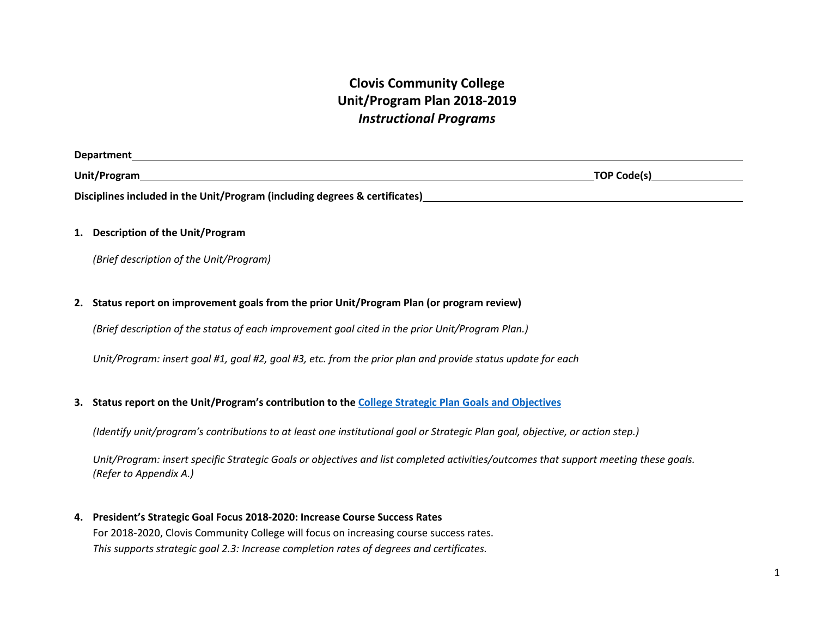# **Clovis Community College Unit/Program Plan 2018-2019**  *Instructional Programs*

| <b>Department</b>                                                           |                    |
|-----------------------------------------------------------------------------|--------------------|
| Unit/Program                                                                | <b>TOP Code(s)</b> |
| Disciplines included in the Unit/Program (including degrees & certificates) |                    |

# **1. Description of the Unit/Program**

*(Brief description of the Unit/Program)* 

# **2. Status report on improvement goals from the prior Unit/Program Plan (or program review)**

*(Brief description of the status of each improvement goal cited in the prior Unit/Program Plan.)* 

*Unit/Program: insert goal #1, goal #2, goal #3, etc. from the prior plan and provide status update for each* 

## **3. Status report on the Unit/Program's contribution to the [College Strategic Plan Goals and Objectives](https://www.cloviscollege.edu/_uploaded-files/_documents/about/ccc_strategic_plan_2017-2021.pdf)**

*(Identify unit/program's contributions to at least one institutional goal or Strategic Plan goal, objective, or action step.)* 

*Unit/Program: insert specific Strategic Goals or objectives and list completed activities/outcomes that support meeting these goals. (Refer to Appendix A.)* 

**4. President's Strategic Goal Focus 2018-2020: Increase Course Success Rates** 

For 2018-2020, Clovis Community College will focus on increasing course success rates. *This supports strategic goal 2.3: Increase completion rates of degrees and certificates.*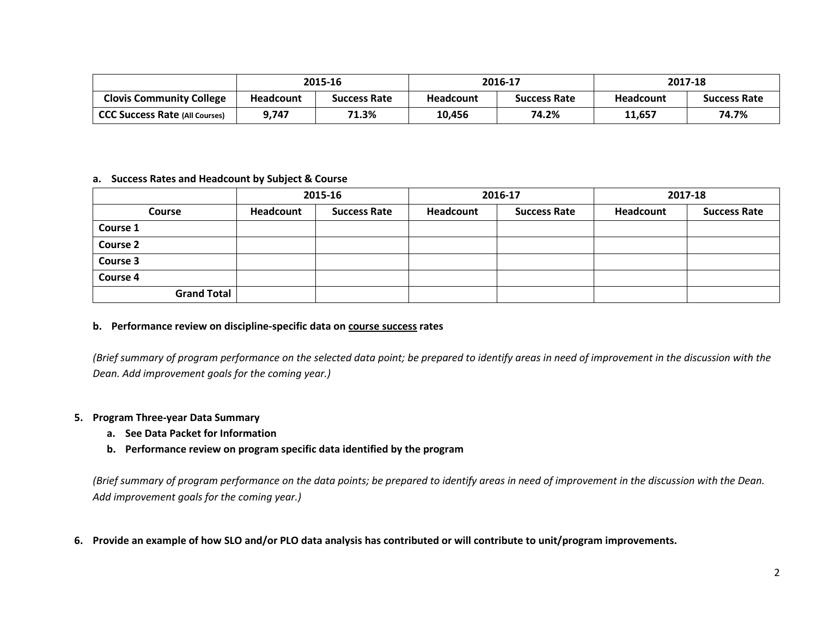|                                       | 2015-16          |                     | 2016-17          |                     | 2017-18          |                     |
|---------------------------------------|------------------|---------------------|------------------|---------------------|------------------|---------------------|
| <b>Clovis Community College</b>       | <b>Headcount</b> | <b>Success Rate</b> | <b>Headcount</b> | <b>Success Rate</b> | <b>Headcount</b> | <b>Success Rate</b> |
| <b>CCC Success Rate (All Courses)</b> | 9,747            | 71.3%               | 10,456           | 74.2%               | 11,657           | 74.7%               |

#### **a. Success Rates and Headcount by Subject & Course**

|                    |           | 2015-16             | 2016-17   |                     | 2017-18   |                     |
|--------------------|-----------|---------------------|-----------|---------------------|-----------|---------------------|
| <b>Course</b>      | Headcount | <b>Success Rate</b> | Headcount | <b>Success Rate</b> | Headcount | <b>Success Rate</b> |
| Course 1           |           |                     |           |                     |           |                     |
| <b>Course 2</b>    |           |                     |           |                     |           |                     |
| <b>Course 3</b>    |           |                     |           |                     |           |                     |
| <b>Course 4</b>    |           |                     |           |                     |           |                     |
| <b>Grand Total</b> |           |                     |           |                     |           |                     |

# **b. Performance review on discipline-specific data on course success rates**

*(Brief summary of program performance on the selected data point; be prepared to identify areas in need of improvement in the discussion with the Dean. Add improvement goals for the coming year.)* 

# **5. Program Three-year Data Summary**

- **a. See Data Packet for Information**
- **b. Performance review on program specific data identified by the program**

*(Brief summary of program performance on the data points; be prepared to identify areas in need of improvement in the discussion with the Dean. Add improvement goals for the coming year.)* 

**6. Provide an example of how SLO and/or PLO data analysis has contributed or will contribute to unit/program improvements.**